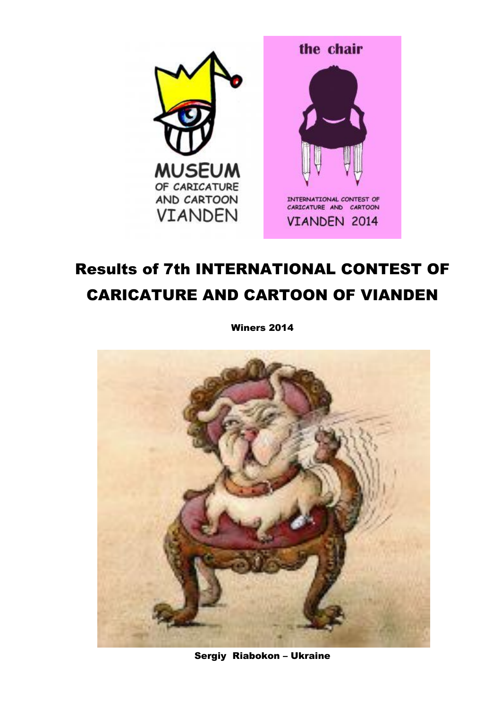

# **Results of 7th INTERNATIONAL CONTEST OF CARICATURE AND CARTOON OF VIANDEN**

**Winers 2014** 



Sergiy Riabokon - Ukraine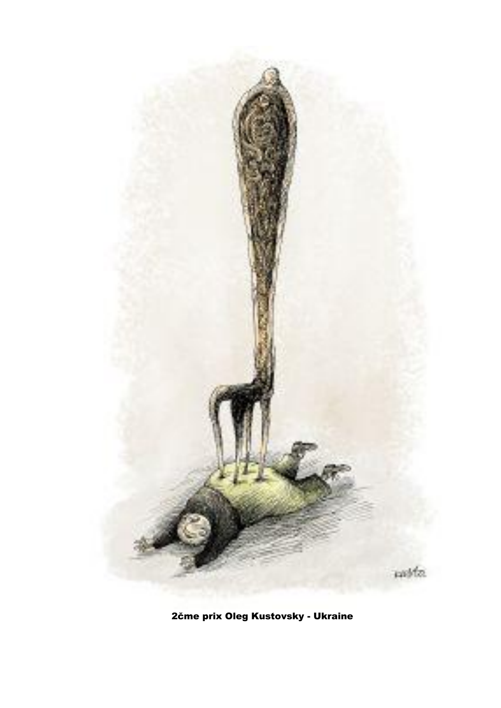

2čme prix Oleg Kustovsky - Ukraine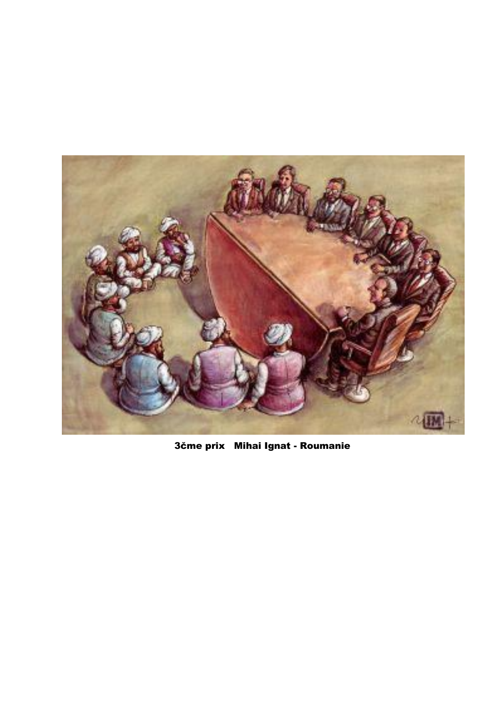

3čme prix Mihai Ignat - Roumanie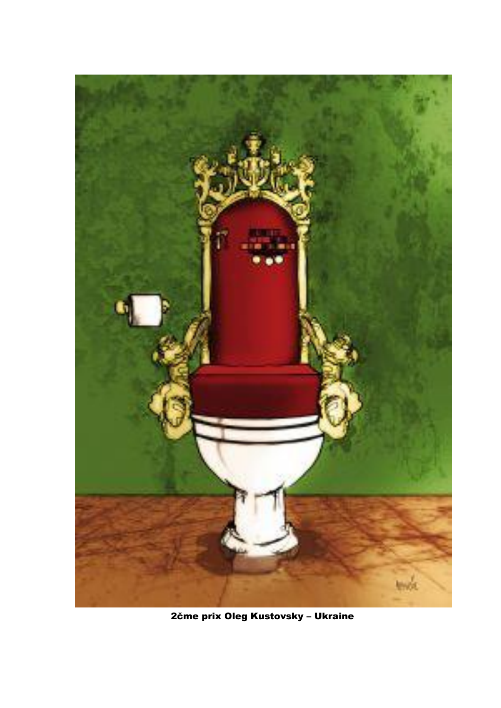

2čme prix Oleg Kustovsky - Ukraine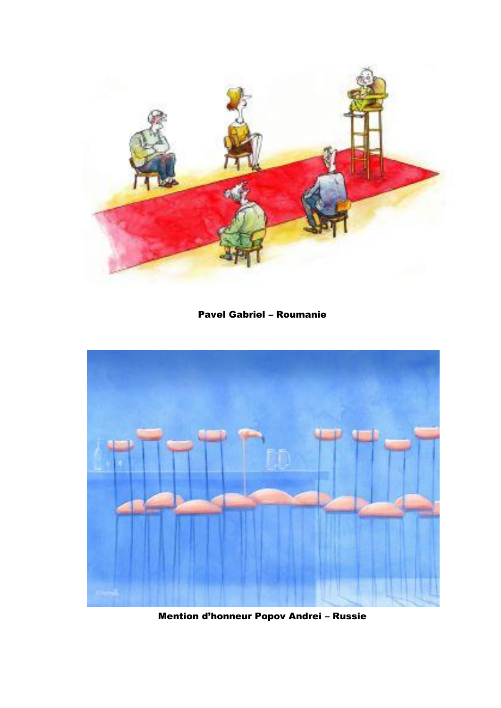

Pavel Gabriel – Roumanie



Mention d'honneur Popov Andrei – Russie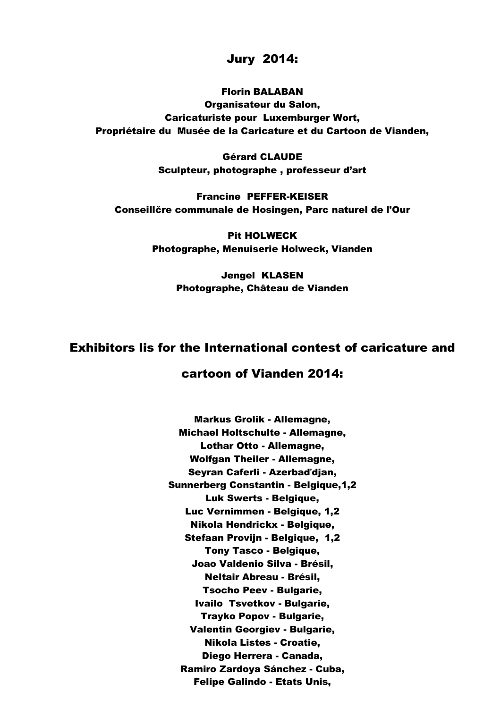## Jury 2014:

#### Florin BALABAN

Organisateur du Salon, Caricaturiste pour Luxemburger Wort, Propriétaire du Musée de la Caricature et du Cartoon de Vianden,

> Gérard CLAUDE Sculpteur, photographe , professeur d'art

Francine PEFFER-KEISER Conseillčre communale de Hosingen, Parc naturel de l'Our

> Pit HOLWECK Photographe, Menuiserie Holweck, Vianden

> > Jengel KLASEN Photographe, Château de Vianden

# Exhibitors lis for the International contest of caricature and

## cartoon of Vianden 2014:

Markus Grolik - Allemagne, Michael Holtschulte - Allemagne, Lothar Otto - Allemagne, Wolfgan Theiler - Allemagne, Seyran Caferli - Azerbaďdjan, Sunnerberg Constantin - Belgique,1,2 Luk Swerts - Belgique, Luc Vernimmen - Belgique, 1,2 Nikola Hendrickx - Belgique, Stefaan Provijn - Belgique, 1,2 Tony Tasco - Belgique, Joao Valdenio Silva - Brésil, Neltair Abreau - Brésil, Tsocho Peev - Bulgarie, Ivailo Tsvetkov - Bulgarie, Trayko Popov - Bulgarie, Valentin Georgiev - Bulgarie, Nikola Listes - Croatie, Diego Herrera - Canada, Ramiro Zardoya Sánchez - Cuba, Felipe Galindo - Etats Unis,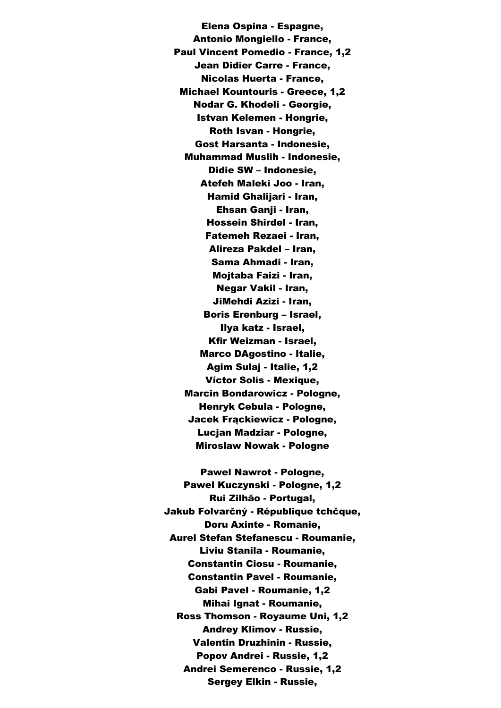Elena Ospina - Espagne, Antonio Mongiello - France, Paul Vincent Pomedio - France, 1,2 Jean Didier Carre - France, Nicolas Huerta - France, Michael Kountouris - Greece, 1,2 Nodar G. Khodeli - Georgie, Istvan Kelemen - Hongrie, Roth Isvan - Hongrie, Gost Harsanta - Indonesie, Muhammad Muslih - Indonesie, Didie SW – Indonesie, Atefeh Maleki Joo - Iran, Hamid Ghalijari - Iran, Ehsan Ganii - Iran. Hossein Shirdel - Iran, Fatemeh Rezaei - Iran, Alireza Pakdel – Iran, Sama Ahmadi - Iran, Mojtaba Faizi - Iran, Negar Vakil - Iran, JiMehdi Azizi - Iran, Boris Erenburg – Israel, Ilya katz - Israel, Kfir Weizman - Israel, Marco DAgostino - Italie, Agim Sulaj - Italie, 1,2 Víctor Solís - Mexique, Marcin Bondarowicz - Pologne, Henryk Cebula - Pologne, Jacek Frąckiewicz - Pologne, Lucjan Madziar - Pologne, Miroslaw Nowak - Pologne

Pawel Nawrot - Pologne, Pawel Kuczynski - Pologne, 1,2 Rui Zilhăo - Portugal, Jakub Folvarčný - République tchčque, Doru Axinte - Romanie, Aurel Stefan Stefanescu - Roumanie, Liviu Stanila - Roumanie, Constantin Ciosu - Roumanie, Constantin Pavel - Roumanie, Gabi Pavel - Roumanie, 1,2 Mihai Ignat - Roumanie, Ross Thomson - Royaume Uni, 1,2 Andrey Klimov - Russie, Valentin Druzhinin - Russie, Popov Andrei - Russie, 1,2 Andrei Semerenco - Russie, 1,2 Sergey Elkin - Russie,